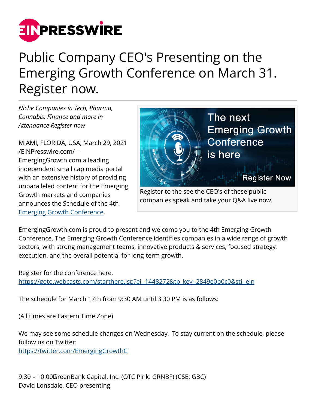

## Public Company CEO's Presenting on the Emerging Growth Conference on March 31. Register now.

*Niche Companies in Tech, Pharma, Cannabis, Finance and more in Attendance Register now*

MIAMI, FLORIDA, USA, March 29, 2021 [/EINPresswire.com/](http://www.einpresswire.com) -- EmergingGrowth.com a leading independent small cap media portal with an extensive history of providing unparalleled content for the Emerging Growth markets and companies announces the Schedule of the 4th [Emerging Growth Conference.](https://goto.webcasts.com/starthere.jsp?ei=1448272&tp_key=2849e0b0c0&sti=ein)



Register to the see the CEO's of these public companies speak and take your Q&A live now.

EmergingGrowth.com is proud to present and welcome you to the 4th Emerging Growth Conference. The Emerging Growth Conference identifies companies in a wide range of growth sectors, with strong management teams, innovative products & services, focused strategy, execution, and the overall potential for long-term growth.

Register for the conference here. [https://goto.webcasts.com/starthere.jsp?ei=1448272&tp\\_key=2849e0b0c0&sti=ein](https://goto.webcasts.com/starthere.jsp?ei=1448272&tp_key=2849e0b0c0&sti=ein)

The schedule for March 17th from 9:30 AM until 3:30 PM is as follows:

(All times are Eastern Time Zone)

We may see some schedule changes on Wednesday. To stay current on the schedule, please follow us on Twitter:

<https://twitter.com/EmergingGrowthC>

9:30 – 10:00 GreenBank Capital, Inc. (OTC Pink: GRNBF) (CSE: GBC) David Lonsdale, CEO presenting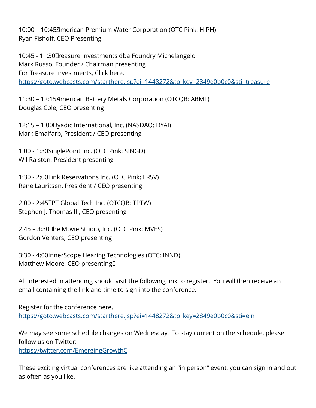10:00 – 10:45 American Premium Water Corporation (OTC Pink: HIPH) Ryan Fishoff, CEO Presenting

10:45 - 11:30 Treasure Investments dba Foundry Michelangelo Mark Russo, Founder / Chairman presenting For Treasure Investments, Click here. [https://goto.webcasts.com/starthere.jsp?ei=1448272&tp\\_key=2849e0b0c0&sti=treasure](https://goto.webcasts.com/starthere.jsp?ei=1448272&tp_key=2849e0b0c0&sti=treasure)

11:30 - 12:15 American Battery Metals Corporation (OTCQB: ABML) Douglas Cole, CEO presenting

12:15 – 1:00 Dyadic International, Inc. (NASDAQ: DYAI) Mark Emalfarb, President / CEO presenting

1:00 - 1:30 SinglePoint Inc. (OTC Pink: SINGD) Wil Ralston, President presenting

1:30 - 2:00 Link Reservations Inc. (OTC Pink: LRSV) Rene Lauritsen, President / CEO presenting

2:00 - 2:45 IPT Global Tech Inc. (OTCQB: TPTW) Stephen J. Thomas III, CEO presenting

2:45 - 3:30 The Movie Studio, Inc. (OTC Pink: MVES) Gordon Venters, CEO presenting

3:30 - 4:00 InnerScope Hearing Technologies (OTC: INND) Matthew Moore, CEO presenting<sup>[]</sup>

All interested in attending should visit the following link to register. You will then receive an email containing the link and time to sign into the conference.

Register for the conference here. [https://goto.webcasts.com/starthere.jsp?ei=1448272&tp\\_key=2849e0b0c0&sti=ein](https://goto.webcasts.com/starthere.jsp?ei=1448272&tp_key=2849e0b0c0&sti=ein)

We may see some schedule changes on Wednesday. To stay current on the schedule, please follow us on Twitter:

<https://twitter.com/EmergingGrowthC>

These exciting virtual conferences are like attending an "in person" event, you can sign in and out as often as you like.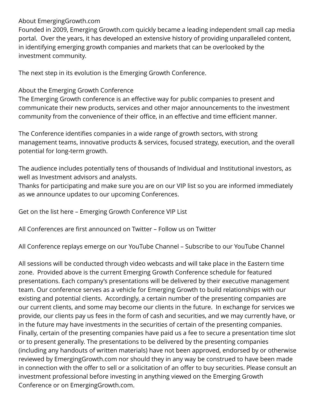## About EmergingGrowth.com

Founded in 2009, Emerging Growth.com quickly became a leading independent small cap media portal. Over the years, it has developed an extensive history of providing unparalleled content, in identifying emerging growth companies and markets that can be overlooked by the investment community.

The next step in its evolution is the Emerging Growth Conference.

## About the Emerging Growth Conference

The Emerging Growth conference is an effective way for public companies to present and communicate their new products, services and other major announcements to the investment community from the convenience of their office, in an effective and time efficient manner.

The Conference identifies companies in a wide range of growth sectors, with strong management teams, innovative products & services, focused strategy, execution, and the overall potential for long-term growth.

The audience includes potentially tens of thousands of Individual and Institutional investors, as well as Investment advisors and analysts.

Thanks for participating and make sure you are on our VIP list so you are informed immediately as we announce updates to our upcoming Conferences.

Get on the list here – Emerging Growth Conference VIP List

All Conferences are first announced on Twitter – Follow us on Twitter

All Conference replays emerge on our YouTube Channel – Subscribe to our YouTube Channel

All sessions will be conducted through video webcasts and will take place in the Eastern time zone. Provided above is the current Emerging Growth Conference schedule for featured presentations. Each company's presentations will be delivered by their executive management team. Our conference serves as a vehicle for Emerging Growth to build relationships with our existing and potential clients. Accordingly, a certain number of the presenting companies are our current clients, and some may become our clients in the future. In exchange for services we provide, our clients pay us fees in the form of cash and securities, and we may currently have, or in the future may have investments in the securities of certain of the presenting companies. Finally, certain of the presenting companies have paid us a fee to secure a presentation time slot or to present generally. The presentations to be delivered by the presenting companies (including any handouts of written materials) have not been approved, endorsed by or otherwise reviewed by EmergingGrowth.com nor should they in any way be construed to have been made in connection with the offer to sell or a solicitation of an offer to buy securities. Please consult an investment professional before investing in anything viewed on the Emerging Growth Conference or on EmergingGrowth.com.